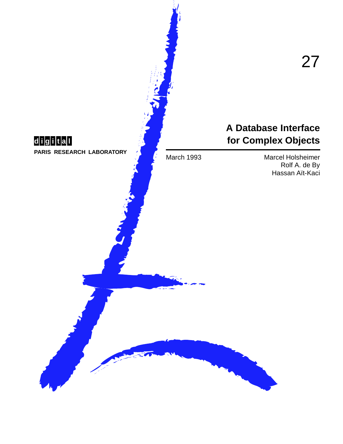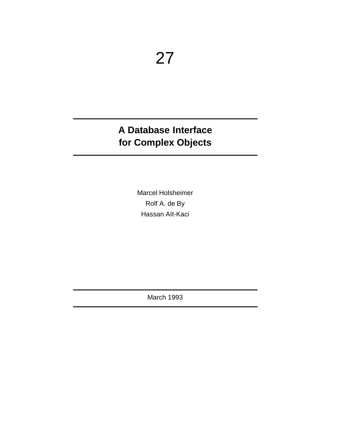# A Database Interface for Complex Objects

Marcel Holsheimer Rolf A. de By Hassan Aït-Kaci

**March 1993**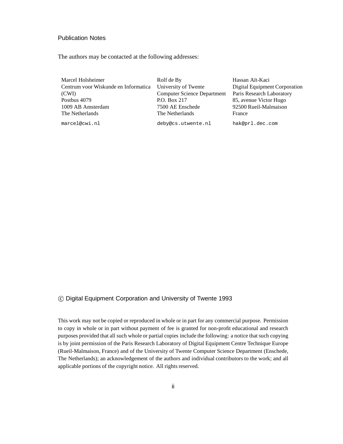#### Publication Notes

The authors may be contacted at the following addresses:

| Marcel Holsheimer                    | Rolf de By                         | Hassan Aït-Kaci               |
|--------------------------------------|------------------------------------|-------------------------------|
| Centrum voor Wiskunde en Informatica | University of Twente               | Digital Equipment Corporation |
| (CWI)                                | <b>Computer Science Department</b> | Paris Research Laboratory     |
| Postbus 4079                         | P.O. Box 217                       | 85, avenue Victor Hugo        |
| 1009 AB Amsterdam                    | 7500 AE Enschede                   | 92500 Rueil-Malmaison         |
| The Netherlands                      | The Netherlands                    | France                        |
|                                      |                                    |                               |

marcel@cwi.nl deby@cs.utwente.nl hak@prl.dec.com

#### c Digital Equipment Corporation and University of Twente 1993

This work may not be copied or reproduced in whole or in part for any commercial purpose. Permission to copy in whole or in part without payment of fee is granted for non-profit educational and research purposes provided that all such whole or partial copies include the following: a notice that such copying is by joint permission of the Paris Research Laboratory of Digital Equipment Centre Technique Europe (Rueil-Malmaison, France) and of the University of Twente Computer Science Department (Enschede, The Netherlands); an acknowledgement of the authors and individual contributors to the work; and all applicable portions of the copyright notice. All rights reserved.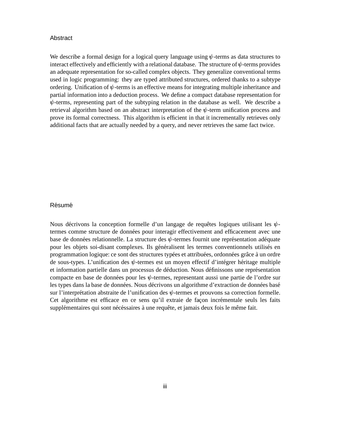#### Abstract

We describe a formal design for a logical query language using  $\psi$ -terms as data structures to interact effectively and efficiently with a relational database. The structure of  $\psi$ -terms provides an adequate representation for so-called complex objects. They generalize conventional terms used in logic programming: they are typed attributed structures, ordered thanks to a subtype ordering. Unification of  $\psi$ -terms is an effective means for integrating multiple inheritance and partial information into a deduction process. We define a compact database representation for  $\psi$ -terms, representing part of the subtyping relation in the database as well. We describe a retrieval algorithm based on an abstract interpretation of the  $\psi$ -term unification process and prove its formal correctness. This algorithm is efficient in that it incrementally retrieves only additional facts that are actually needed by a query, and never retrieves the same fact twice.

#### **Résumé**

Nous décrivons la conception formelle d'un langage de requêtes logiques utilisant les  $\psi$ termes comme structure de données pour interagir effectivement and efficacement avec une base de données relationnelle. La structure des  $\psi$ -termes fournit une représentation adéquate pour les objets soi-disant complexes. Ils généralisent les termes conventionnels utilisés en programmation logique: ce sont des structures typées et attribuées, ordonnées grâce à un ordre de sous-types. L'unification des  $\psi$ -termes est un moyen effectif d'intégrer héritage multiple et information partielle dans un processus de déduction. Nous définissons une représentation compacte en base de données pour les  $\psi$ -termes, representant aussi une partie de l'ordre sur les types dans la base de données. Nous décrivons un algorithme d'extraction de données basé sur l'interprétation abstraite de l'unification des  $\psi$ -termes et prouvons sa correction formelle. Cet algorithme est efficace en ce sens qu'il extraie de façon incrémentale seuls les faits supplémentaires qui sont nécéssaires à une requête, et jamais deux fois le même fait.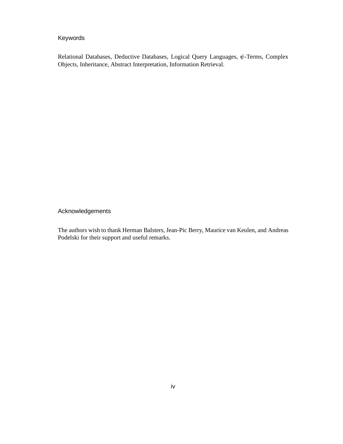# Keywords

Relational Databases, Deductive Databases, Logical Query Languages,  $\psi$ -Terms, Complex Objects, Inheritance, Abstract Interpretation, Information Retrieval.

Acknowledgements

The authors wish to thank Herman Balsters, Jean-Pic Berry, Maurice van Keulen, and Andreas Podelski for their support and useful remarks.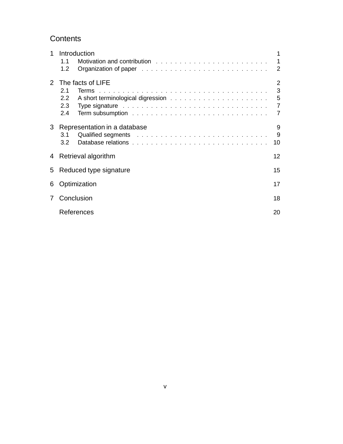# **Contents**

| 1              | Introduction                                                                                                          | 1              |
|----------------|-----------------------------------------------------------------------------------------------------------------------|----------------|
|                | 1.1                                                                                                                   | 1              |
|                | 1.2                                                                                                                   | 2              |
| $2^{\circ}$    | The facts of LIFE                                                                                                     | 2              |
|                | 2.1                                                                                                                   | 3              |
|                | $2.2^{\circ}$                                                                                                         | 5              |
|                | Type signature entertainment and the contract of the signature entertainment and the signature of the signatur<br>2.3 | $\overline{7}$ |
|                | 2.4                                                                                                                   | 7              |
| 3              | Representation in a database<br>3.1<br>3.2                                                                            | 9<br>9<br>10   |
|                | 4 Retrieval algorithm                                                                                                 | 12             |
|                | 5 Reduced type signature                                                                                              | 15             |
| 6              | Optimization                                                                                                          | 17             |
| $\overline{7}$ | Conclusion                                                                                                            | 18             |
|                | References                                                                                                            | 20             |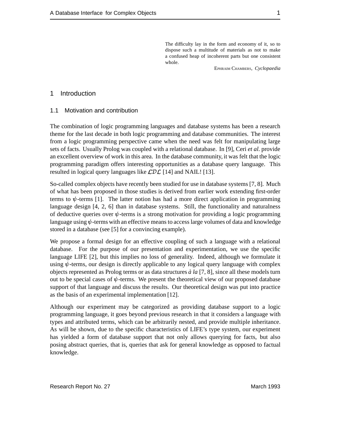The difficulty lay in the form and economy of it, so to dispose such a multitude of materials as not to make a confused heap of incoherent parts but one consistent whole.

EPHRAIM CHAMBERS, *Cyclopaedia*

#### 1 Introduction

#### 1.1 Motivation and contribution

The combination of logic programming languages and database systems has been a research theme for the last decade in both logic programming and database communities. The interest from a logic programming perspective came when the need was felt for manipulating large sets of facts. Usually Prolog was coupled with a relational database. In [9], Ceri *et al.* provide an excellent overview of work in this area. In the database community, it was felt that the logic programming paradigm offers interesting opportunities as a database query language. This resulted in logical query languages like  $LDL$  [14] and NAIL! [13].

So-called complex objects have recently been studied for use in database systems [7, 8]. Much of what has been proposed in those studies is derived from earlier work extending first-order terms to  $\psi$ -terms [1]. The latter notion has had a more direct application in programming language design [4, 2, 6] than in database systems. Still, the functionality and naturalness of deductive queries over  $\psi$ -terms is a strong motivation for providing a logic programming language using  $\psi$ -terms with an effective means to access large volumes of data and knowledge stored in a database (see [5] for a convincing example).

We propose a formal design for an effective coupling of such a language with a relational database. For the purpose of our presentation and experimentation, we use the specific language LIFE [2], but this implies no loss of generality. Indeed, although we formulate it using  $\psi$ -terms, our design is directly applicable to any logical query language with complex objects represented as Prolog terms or as data structures *a la `* [7, 8], since all these models turn out to be special cases of  $\psi$ -terms. We present the theoretical view of our proposed database support of that language and discuss the results. Our theoretical design was put into practice as the basis of an experimental implementation [12].

Although our experiment may be categorized as providing database support to a logic programming language, it goes beyond previous research in that it considers a language with types and attributed terms, which can be arbitrarily nested, and provide multiple inheritance. As will be shown, due to the specific characteristics of LIFE's type system, our experiment has yielded a form of database support that not only allows querying for facts, but also posing abstract queries, that is, queries that ask for general knowledge as opposed to factual knowledge.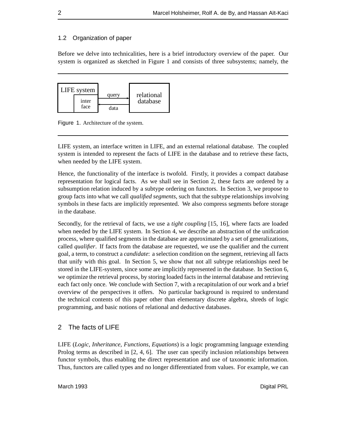#### 1.2 Organization of paper

Before we delve into technicalities, here is a brief introductory overview of the paper. Our system is organized as sketched in Figure 1 and consists of three subsystems; namely, the



Figure 1. Architecture of the system.

LIFE system, an interface written in LIFE, and an external relational database. The coupled system is intended to represent the facts of LIFE in the database and to retrieve these facts, when needed by the LIFE system.

Hence, the functionality of the interface is twofold. Firstly, it provides a compact database representation for logical facts. As we shall see in Section 2, these facts are ordered by a subsumption relation induced by a subtype ordering on functors. In Section 3, we propose to group facts into what we call *qualified segments*, such that the subtype relationships involving symbols in these facts are implicitly represented. We also compress segments before storage in the database.

Secondly, for the retrieval of facts, we use a *tight coupling* [15, 16], where facts are loaded when needed by the LIFE system. In Section 4, we describe an abstraction of the unification process, where qualified segments in the database are approximated by a set of generalizations, called *qualifier*. If facts from the database are requested, we use the qualifier and the current goal, a term, to construct a *candidate*: a selection condition on the segment, retrieving all facts that unify with this goal. In Section 5, we show that not all subtype relationships need be stored in the LIFE-system, since some are implicitly represented in the database. In Section 6, we optimize the retrieval process, by storing loaded facts in the internal database and retrieving each fact only once. We conclude with Section 7, with a recapitulation of our work and a brief overview of the perspectives it offers. No particular background is required to understand the technical contents of this paper other than elementary discrete algebra, shreds of logic programming, and basic notions of relational and deductive databases.

### 2 The facts of LIFE

LIFE (*Logic, Inheritance, Functions, Equations*) is a logic programming language extending Prolog terms as described in [2, 4, 6]. The user can specify inclusion relationships between functor symbols, thus enabling the direct representation and use of taxonomic information. Thus, functors are called types and no longer differentiated from values. For example, we can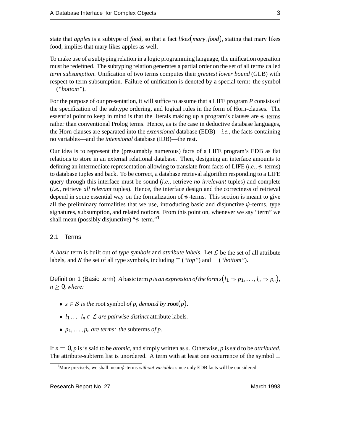state that *apples* is a subtype of *food*, so that a fact *likes*(*mary*; *food*), stating that mary likes food, implies that mary likes apples as well.

To make use of a subtyping relation in a logic programming language, the unification operation must be redefined. The subtyping relation generates a partial order on the set of all terms called *term subsumption*. Unification of two terms computes their *greatest lower bound* (GLB) with respect to term subsumption. Failure of unification is denoted by a special term: the symbol  $\perp$  ("*bottom*").

For the purpose of our presentation, it will suffice to assume that a LIFE program *P* consists of the specification of the subtype ordering, and logical rules in the form of Horn-clauses. The essential point to keep in mind is that the literals making up a program's clauses are  $\psi$ -terms rather than conventional Prolog terms. Hence, as is the case in deductive database languages, the Horn clauses are separated into the *extensional* database (EDB)—*i.e.*, the facts containing no variables—and the *intensional* database (IDB)—the rest.

Our idea is to represent the (presumably numerous) facts of a LIFE program's EDB as flat relations to store in an external relational database. Then, designing an interface amounts to defining an intermediate representation allowing to translate from facts of LIFE  $(i.e., \psi$ -terms) to database tuples and back. To be correct, a database retrieval algorithm responding to a LIFE query through this interface must be sound (*i.e.*, retrieve *no irrelevant* tuples) and complete (*i.e.*, retrieve *all relevant* tuples). Hence, the interface design and the correctness of retrieval depend in some essential way on the formalization of  $\psi$ -terms. This section is meant to give all the preliminary formalities that we use, introducing basic and disjunctive  $\psi$ -terms, type signatures, subsumption, and related notions. From this point on, whenever we say "term" we shall mean (possibly disjunctive) " $\psi$ -term."<sup>1</sup>

#### 2.1 Terms

A *basic* term is built out of *type symbols* and *attribute labels*. Let  $\mathcal{L}$  be the set of all attribute labels, and S the set of all type symbols, including  $\top$  (*"top"*) and  $\bot$  (*"bottom"*).

Definition 1 (Basic term) *A* basic term *p* is an expression of the form  $s(l_1 \Rightarrow p_1, \ldots, l_n \Rightarrow p_n)$ ,  $n \geq 0$ *, where:* 

- $s \in S$  *is the* root symbol *of p, denoted by* **root** $(p)$ *.*
- $l_1 \ldots, l_n \in \mathcal{L}$  *are pairwise distinct* attribute labels.
- $p_1, \ldots, p_n$  *are terms: the subterms of p.*

If *n* <sup>=</sup> 0, *p* is is said to be *atomic*, and simply written as *s*. Otherwise, *p* is said to be *attributed*. The attribute-subterm list is unordered. A term with at least one occurrence of the symbol  $\perp$ 

<sup>&</sup>lt;sup>1</sup>More precisely, we shall mean  $\psi$ -terms *without variables* since only EDB facts will be considered.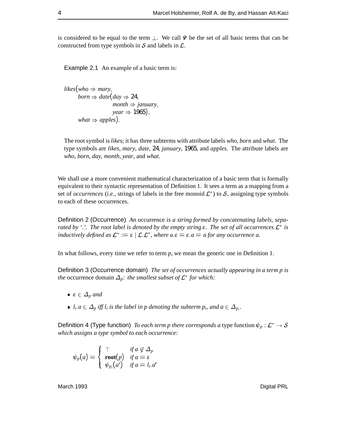is considered to be equal to the term  $\perp$ . We call  $\Psi$  be the set of all basic terms that can be constructed from type symbols in  $S$  and labels in  $\mathcal{L}$ .

Example 2.1 An example of a basic term is:

*likes*(*who*  $\Rightarrow$  *mary*, *born*  $\Rightarrow$  *date*(*day*  $\Rightarrow$  24,  $month \Rightarrow january,$  $year \Rightarrow 1965$ ); *what*  $\Rightarrow$  *apples*).

The root symbol is *likes*; it has three subterms with attribute labels *who*, *born* and *what*. The type symbols are *likes*, *mary*, *date*, 24, *january*, 1965, and *apples*. The attribute labels are *who*, *born*, *day*, *month*, *year*, and *what*.

We shall use a more convenient mathematical characterization of a basic term that is formally equivalent to their syntactic representation of Definition 1. It sees a term as a mapping from a set of *occurrences* (*i.e.*, strings of labels in the free monoid  $\mathcal{L}^*$ ) to  $\mathcal{S}$ , assigning type symbols to each of these occurrences.

Definition 2 (Occurrence) *An* occurrence *is a string formed by concatenating labels, separated by '.'. The root label is denoted by the empty string*  $\varepsilon$ . The set of all occurrences  $\mathcal{L}^*$  is *inductively defined as*  $\mathcal{L}^* := \varepsilon \mid \mathcal{L} \mathcal{L}^*$ , where  $a.\varepsilon = \varepsilon.a = a$  for any occurrence a.

In what follows, every time we refer to term *p*, we mean the generic one in Definition 1.

Definition 3 (Occurrence domain) *The set of occurrences actually appearing in a term p is the* occurrence domain  $\Delta_p$ : the smallest subset of  $\mathcal{L}^*$  for which:

- $\varepsilon \in \Delta_p$  and
- $l_i.a \in \Delta_p$  *iff*  $l_i$  *is the label in p denoting the subterm*  $p_i$ *, and*  $a \in \Delta_{p_i}$ *.*

Definition 4 (Type function) *To each term p there corresponds a* type function  $\psi_p : \mathcal{L}^* \to \mathcal{S}$ *which assigns a type symbol to each occurrence:*

$$
\psi_p(a) = \begin{cases} \top & \text{if } a \notin \Delta_p \\ \text{root}(p) & \text{if } a = \varepsilon \\ \psi_{p_i}(a') & \text{if } a = l_i.a' \end{cases}
$$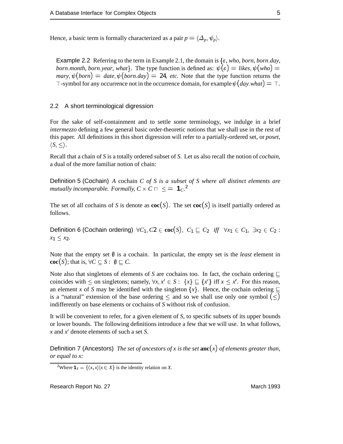Hence, a basic term is formally characterized as a pair  $p = \langle \Delta_p, \psi_p \rangle$ .

Example 2.2 Referring to the term in Example 2.1, the domain is  $\{\varepsilon$ , *who*, *born*, *born*. *day*, *born.month, born.year, what*}. The type function is defined as:  $\psi(\varepsilon) =$  *likes,*  $\psi(wh\omega) =$  $mary, \psi(born) = date, \psi(born. \text{day}) = 24$ , *etc.* Note that the type function returns the  $\top$ -symbol for any occurrence not in the occurrence domain, for example  $\psi(day, what) = \top$ .

#### 2.2 A short terminological digression

For the sake of self-containment and to settle some terminology, we indulge in a brief *intermezzo* defining a few general basic order-theoretic notions that we shall use in the rest of this paper. All definitions in this short digression will refer to a partially-ordered set, or *poset*,  $\langle S, \leq \rangle$ .

Recall that a chain of *S* is a totally ordered subset of *S*. Let us also recall the notion of *cochain*, a dual of the more familiar notion of chain:

Definition 5 (Cochain) *A* cochain *C of S is a subset of S where all distinct elements are mutually incomparable. Formally,*  $C \times C \cap \leq 1$  $C^2$ 

The set of all cochains of *S* is denote as  $\text{coc}(S)$ . The set  $\text{coc}(S)$  is itself partially ordered as follows.

Definition 6 (Cochain ordering)  $\forall C_1, C_2 \in \textbf{coc}(S), C_1 \sqsubseteq C_2$  *iff*  $\forall x_1 \in C_1, \exists x_2 \in C_2$  :  $x_1 \leq x_2$ .

Note that the empty set  $\emptyset$  is a cochain. In particular, the empty set is the *least* element in **coc**(*S*); that is,  $\forall C \subseteq S : \emptyset \subseteq C$ .

Note also that singletons of elements of *S* are cochains too. In fact, the cochain ordering  $\sqsubseteq$ coincides with  $\leq$  on singletons; namely,  $\forall x, x' \in S: \{x\} \sqsubseteq \{x'\}$  iff  $x \leq x'$ . For this reason, an element *x* of *S* may be identified with the singleton  $\{x\}$ . Hence, the cochain ordering  $\sqsubseteq$ is a "natural" extension of the base ordering  $\leq$  and so we shall use only one symbol  $(\leq)$ indifferently on base elements or cochains of *S* without risk of confusion.

It will be convenient to refer, for a given element of *S*, to specific subsets of its upper bounds or lower bounds. The following definitions introduce a few that we will use. In what follows, *x* and *x*<sup>0</sup> denote elements of such a set *S*.

Definition 7 (Ancestors) *The set of ancestors of x is the set* **anc**(*x*) *of elements greater than, or equal to x:*

<sup>&</sup>lt;sup>2</sup>Where **1**<sub>*X*</sub> = { $\langle x, x \rangle | x \in X$ } is the identity relation on *X*.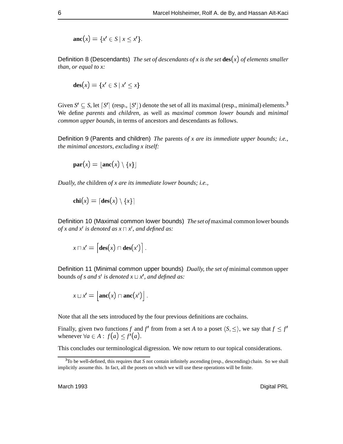$$
\mathbf{anc}(x) = \{x' \in S \mid x \leq x'\}.
$$

Definition 8 (Descendants) *The set of descendants of x is the set* **des**(*x*) *of elements smaller than, or equal to x:*

$$
\mathbf{des}(x) = \{x' \in S \mid x' \leq x\}
$$

Given  $S' \subseteq S$ , let  $\lceil S' \rceil$  (resp.,  $\lceil S' \rceil$ ) denote the set of all its maximal (resp., minimal) elements.<sup>3</sup> We define *parents* and *children*, as well as *maximal common lower bounds* and *minimal common upper bounds*, in terms of ancestors and descendants as follows.

Definition 9 (Parents and children) *The* parents *of x are its immediate upper bounds; i.e., the minimal ancestors, excluding x itself:*

$$
\mathbf{par}(x) = \lfloor \mathbf{anc}(x) \setminus \{x\} \rfloor
$$

*Dually, the* children *of x are its immediate lower bounds; i.e.,*

$$
chi(x) = [des(x) \setminus \{x\}]
$$

Definition 10 (Maximal common lower bounds) *The set of*maximal common lower bounds *of x and x' is denoted as*  $x \sqcap x'$ *, and defined as:* 

$$
x\sqcap x'=\big[\mathbf{des}(x)\cap\mathbf{des}(x')\big].
$$

Definition 11 (Minimal common upper bounds) *Dually, the set of* minimal common upper bounds *of s and s' is denoted*  $x \sqcup x'$ *, and defined as:* 

$$
x \sqcup x' = \left[ \mathrm{anc}(x) \cap \mathrm{anc}(x') \right].
$$

Note that all the sets introduced by the four previous definitions are cochains.

Finally, given two functions *f* and *f'* from from a set *A* to a poset  $\langle S, \leq \rangle$ , we say that  $f \leq f'$ whenever  $\forall a \in A : f(a) \leq f'(a)$ .

This concludes our terminological digression. We now return to our topical considerations.

<sup>3</sup> To be well-defined, this requires that *S* not contain infinitely ascending (resp., descending) chain. So we shall implicitly assume this. In fact, all the posets on which we will use these operations will be finite.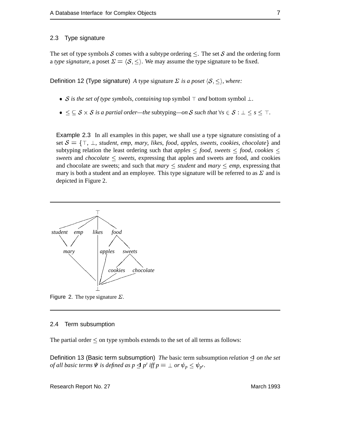#### 2.3 Type signature

The set of type symbols S comes with a subtype ordering  $\leq$ . The set S and the ordering form a *type signature*, a poset  $\Sigma = \langle S, \le \rangle$ . We may assume the type signature to be fixed.

Definition 12 (Type signature) *A* type signature  $\Sigma$  *is a poset*  $\langle S, \leq \rangle$ , where:

- *S* is the set of type symbols, containing top symbol  $\top$  and bottom symbol  $\bot$ .
- $\bullet \leq \subseteq S \times S$  *is a partial order—the* subtyping—*on* S *such that*  $\forall s \in S : \bot \leq s \leq \top$ .

Example 2.3 In all examples in this paper, we shall use a type signature consisting of a set  $S = \{\top, \bot, \bot\}$ , *student*, *emp*, *mary*, *likes*, *food*, *apples*, *sweets*, *cookies*, *chocolate*} and subtyping relation the least ordering such that *apples*  $\leq$  *food, sweets*  $\leq$  *food, cookies*  $\leq$ *sweets* and *chocolate*  $\leq$  *sweets*, expressing that apples and sweets are food, and cookies and chocolate are sweets; and such that *mary*  $\leq$  *student* and *mary*  $\leq$  *emp*, expressing that mary is both a student and an employee. This type signature will be referred to as  $\Sigma$  and is depicted in Figure 2.



Figure 2. The type signature  $\Sigma$ .

#### 2.4 Term subsumption

The partial order  $\leq$  on type symbols extends to the set of all terms as follows:

Definition 13 (Basic term subsumption) *The* basic term subsumption *relation on the set of all basic terms*  $\Psi$  *is defined as*  $p \trianglelefteq p'$  *iff*  $p = \bot$  *or*  $\psi_p \leq \psi_{p'}$ *.*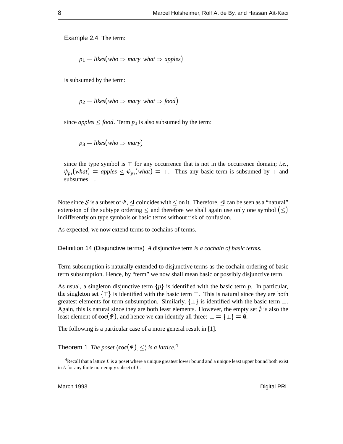Example 2.4 The term:

$$
p_1 =
$$
 likes(who  $\Rightarrow$  many, what  $\Rightarrow$  apples)

is subsumed by the term:

$$
p_2 =
$$
 *likes* $(who \Rightarrow$  *mary, what*  $\Rightarrow$  *food* $)$ 

since *apples*  $\leq$  *food*. Term  $p_1$  is also subsumed by the term:

$$
p_3 = likes(who \Rightarrow mary)
$$

since the type symbol is  $\top$  for any occurrence that is not in the occurrence domain; *i.e.*,  $\psi_{p_1}(what) = apples \leq \psi_{p_3}(what) = \top$ . Thus any basic term is subsumed by  $\top$  and subsumes  $\perp$ .

Note since S is a subset of  $\Psi$ ,  $\triangleleft$  coincides with  $\leq$  on it. Therefore,  $\triangleleft$  can be seen as a "natural" extension of the subtype ordering  $\leq$  and therefore we shall again use only one symbol  $(\leq)$ indifferently on type symbols or basic terms without risk of confusion.

As expected, we now extend terms to cochains of terms.

Definition 14 (Disjunctive terms) *A* disjunctive term *is a cochain of basic terms.*

Term subsumption is naturally extended to disjunctive terms as the cochain ordering of basic term subsumption. Hence, by "term" we now shall mean basic or possibly disjunctive term.

As usual, a singleton disjunctive term  $\{p\}$  is identified with the basic term *p*. In particular, the singleton set  $\{\top\}$  is identified with the basic term  $\top$ . This is natural since they are both greatest elements for term subsumption. Similarly,  $\{\perp\}$  is identified with the basic term  $\perp$ . Again, this is natural since they are both least elements. However, the empty set  $\emptyset$  is also the least element of  $\text{coc}(\Psi)$ , and hence we can identify all three:  $\bot = {\bot} = \emptyset$ .

The following is a particular case of a more general result in [1].

Theorem 1 *The poset*  $\langle \textbf{coc}(\Psi), \leq \rangle$  *is a lattice.*<sup>4</sup>

<sup>4</sup> Recall that a lattice *L* is a poset where a unique greatest lower bound and a unique least upper bound both exist in *L* for any finite non-empty subset of *L*.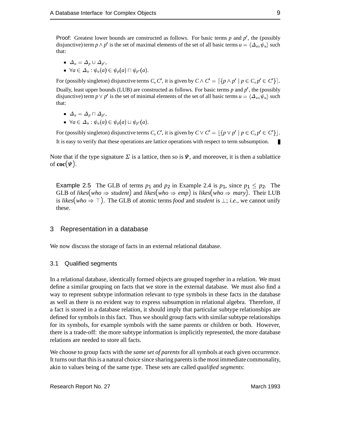**Proof:** Greatest lower bounds are constructed as follows. For basic terms  $p$  and  $p'$ , the (possibly disjunctive) term  $p \wedge p'$  is the set of maximal elements of the set of all basic terms  $u = \langle \Delta_u, \psi_u \rangle$  such that:

$$
\bullet\;\;\it{\Delta}_u=\Delta_p\cup\Delta_{p'},
$$

 $\blacktriangleright$   $\forall a \in \Delta_u : \psi_u(a) \in \psi_v(a) \sqcap \psi_{v'}(a).$ 

For (possibly singleton) disjunctive terms *C*, *C'*, it is given by  $C \wedge C' = \left\{ \{p \wedge p' \mid p \in C, p' \in C' \} \right\}.$ Dually, least upper bounds (LUB) are constructed as follows. For basic terms *p* and *p'*, the (possibly disjunctive) term  $p \vee p'$  is the set of minimal elements of the set of all basic terms  $u = \langle \Delta_u, \psi_u \rangle$  such that:

$$
\bullet \ \ \Delta_u = \Delta_p \cap \Delta_{p'},
$$

• 
$$
\forall a \in \Delta_u : \psi_u(a) \in \psi_p(a) \sqcup \psi_{p'}(a)
$$
.

For (possibly singleton) disjunctive terms *C*, *C'*, it is given by  $C \vee C' = |\{p \vee p' \mid p \in C, p' \in C'\}|$ . It is easy to verify that these operations are lattice operations with respect to term subsumption.

Note that if the type signature  $\Sigma$  is a lattice, then so is  $\Psi$ , and moreover, it is then a sublattice of **coc**( $\Psi$ ).

Example 2.5 The GLB of terms  $p_1$  and  $p_2$  in Example 2.4 is  $p_1$ , since  $p_1 \leq p_2$ . The GLB of *likes*(*who*  $\Rightarrow$  *student*) and *likes*(*who*  $\Rightarrow$  *emp*) is *likes*(*who*  $\Rightarrow$  *mary*). Their LUB is *likes*(*who*  $\Rightarrow$   $\top$ ). The GLB of atomic terms *food* and *student* is  $\bot$ ; *i.e.*, we cannot unify these.

#### 3 Representation in a database

We now discuss the storage of facts in an external relational database.

#### 3.1 Qualified segments

In a relational database, identically formed objects are grouped together in a relation. We must define a similar grouping on facts that we store in the external database. We must also find a way to represent subtype information relevant to type symbols in these facts in the database as well as there is no evident way to express subsumption in relational algebra. Therefore, if a fact is stored in a database relation, it should imply that particular subtype relationships are defined for symbols in this fact. Thus we should group facts with similar subtype relationships for its symbols, for example symbols with the same parents or children or both. However, there is a trade-off: the more subtype information is implicitly represented, the more database relations are needed to store all facts.

We choose to group facts with the *same set of parents* for all symbols at each given occurrence. It turns out that this is a natural choice since sharing parents is the most immediate commonality, akin to values being of the same type. These sets are called *qualified segments*: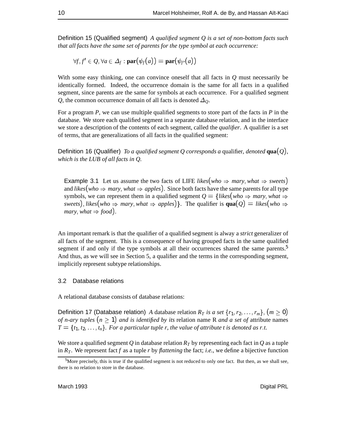Definition 15 (Qualified segment) *A qualified segment Q is a set of non-bottom facts such that all facts have the same set of parents for the type symbol at each occurrence:*

 $\forall f, f' \in Q, \forall a \in \Delta_f : \textbf{par}(\psi_f(a)) = \textbf{par}(\psi_{f'}(a))$ 

With some easy thinking, one can convince oneself that all facts in *Q* must necessarily be identically formed. Indeed, the occurrence domain is the same for all facts in a qualified segment, since parents are the same for symbols at each occurrence. For a qualified segment *Q*, the common occurrence domain of all facts is denoted  $\Delta_0$ .

For a program *P*, we can use multiple qualified segments to store part of the facts in *P* in the database. We store each qualified segment in a separate database relation, and in the interface we store a description of the contents of each segment, called the *qualifier*. A qualifier is a set of terms, that are generalizations of all facts in the qualified segment:

Definition 16 (Qualifier) *To a qualified segment Q corresponds a* qualifier*, denoted* **qua**(*Q*)*, which is the LUB of all facts in Q.*

**Example 3.1** Let us assume the two facts of LIFE *likes*(*who*  $\Rightarrow$  *mary*, *what*  $\Rightarrow$  *sweets*) and *likes*(*who*  $\Rightarrow$  *mary*, *what*  $\Rightarrow$  *apples*). Since both facts have the same parents for all type symbols, we can represent them in a qualified segment  $Q = \{likes(who \Rightarrow$  mary, what  $\Rightarrow$ *sweets*), *likes*(*who*  $\Rightarrow$  *mary*, *what*  $\Rightarrow$  *apples*)}. The qualifier is **qua**(*Q*) = *likes*(*who*  $\Rightarrow$ *mary*, *what*  $\Rightarrow$  *food*).

An important remark is that the qualifier of a qualified segment is alway a *strict* generalizer of all facts of the segment. This is a consequence of having grouped facts in the same qualified segment if and only if the type symbols at all their occurrences shared the same parents.<sup>5</sup> And thus, as we will see in Section 5, a qualifier and the terms in the corresponding segment, implicitly represent subtype relationships.

#### 3.2 Database relations

A relational database consists of database relations:

Definition 17 (Database relation) *A* database relation  $R_T$  *is a set*  $\{r_1, r_2, \ldots, r_m\}$ ,  $(m \ge 0)$ *of n-ary tuples*  $(n \geq 1)$  *and is identified by its relation name R and a set of attribute names*  $T = \{t_1, t_2, \ldots, t_n\}$ . For a particular tuple r, the value of attribute t is denoted as r.t.

We store a qualified segment  $Q$  in database relation  $R<sub>T</sub>$  by representing each fact in  $Q$  as a tuple in  $R_T$ . We represent fact f as a tuple r by flattening the fact; *i.e.*, we define a bijective function

 $<sup>5</sup>$ More precisely, this is true if the qualified segment is not reduced to only one fact. But then, as we shall see,</sup> there is no relation to store in the database.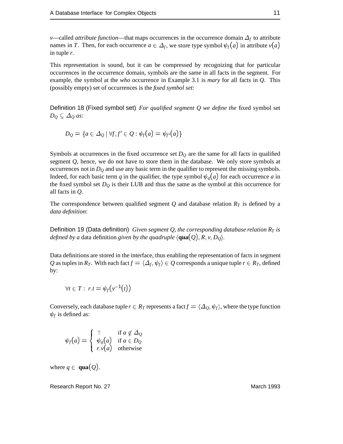*v*—called *attribute function*—that maps occurrences in the occurrence domain  $\Delta_f$  to attribute names in *T*. Then, for each occurrence  $a \in \Delta_f$ , we store type symbol  $\psi_f(a)$  in attribute  $v(a)$ in tuple *r*.

This representation is sound, but it can be compressed by recognizing that for particular occurrences in the occurrence domain, symbols are the same in all facts in the segment. For example, the symbol at the *who* occurrence in Example 3.1 is *mary* for all facts in *Q*. This (possibly empty) set of occurrences is the *fixed symbol set*:

Definition 18 (Fixed symbol set) *For qualified segment Q we define the* fixed symbol set  $D_Q \subseteq \Delta_Q$  *as:* 

$$
D_Q = \{a \in \Delta_Q \mid \forall f, f' \in Q : \psi_f(a) = \psi_{f'}(a)\}
$$

Symbols at occurrences in the fixed occurrence set  $D<sub>Q</sub>$  are the same for all facts in qualified segment *Q*, hence, we do not have to store them in the database. We only store symbols at occurrences not in  $D_Q$  and use any basic term in the qualifier to represent the missing symbols. Indeed, for each basic term *q* in the qualifier, the type symbol  $\psi_q(a)$  for each occurrence *a* in the fixed symbol set  $D_Q$  is their LUB and thus the same as the symbol at this occurrence for all facts in *Q*.

The correspondence between qualified segment  $Q$  and database relation  $R<sub>T</sub>$  is defined by a *data definition*:

Definition 19 (Data definition) *Given segment Q, the corresponding database relation*  $R_T$  *is defined by a* data definition *given by the quadruple*  $\langle \text{qua}(Q), R, v, D_Q \rangle$ .

Data definitions are stored in the interface, thus enabling the representation of facts in segment *Q* as tuples in  $R_T$ . With each fact  $f = \langle \Delta_f, \psi_f \rangle \in Q$  corresponds a unique tuple  $r \in R_T$ , defined by:

$$
\forall t \in T: \; r.t = \psi_f(v^{-1}(t))
$$

Conversely, each database tuple  $r \in R_T$  represents a fact  $f = \langle \Delta_O, \psi_f \rangle$ , where the type function  $\psi_f$  is defined as:

$$
\psi_f(a) = \begin{cases} \top & \text{if } a \notin \Delta_Q \\ \psi_q(a) & \text{if } a \in D_Q \\ r.v(a) & \text{otherwise} \end{cases}
$$

where  $q \in \text{quad}(Q)$ .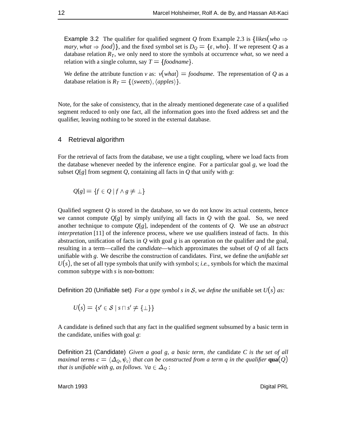**Example 3.2** The qualifier for qualified segment *Q* from Example 2.3 is  $\{likes(who \Rightarrow$ *mary*, *what*  $\Rightarrow$  *food*)}, and the fixed symbol set is  $D_Q = \{\varepsilon, who\}$ . If we represent Q as a database relation  $R_T$ , we only need to store the symbols at occurrence *what*, so we need a relation with a single column, say  $T = \{foodname\}.$ 

We define the attribute function *v* as:  $v(what) = foodname$ . The representation of *Q* as a database relation is  $R_T = \{\langle \text{sweets} \rangle, \langle \text{apples} \rangle \}.$ 

Note, for the sake of consistency, that in the already mentioned degenerate case of a qualified segment reduced to only one fact, all the information goes into the fixed address set and the qualifier, leaving nothing to be stored in the external database.

#### 4 Retrieval algorithm

For the retrieval of facts from the database, we use a tight coupling, where we load facts from the database whenever needed by the inference engine. For a particular goal *g*, we load the subset  $Q[g]$  from segment  $Q$ , containing all facts in  $Q$  that unify with  $g$ :

$$
Q[g] = \{ f \in Q \mid f \wedge g \neq \bot \}
$$

Qualified segment *Q* is stored in the database, so we do not know its actual contents, hence we cannot compute  $Q[g]$  by simply unifying all facts in  $Q$  with the goal. So, we need another technique to compute *Q*[*g*], independent of the contents of *Q*. We use an *abstract interpretation* [11] of the inference process, where we use qualifiers instead of facts. In this abstraction, unification of facts in *Q* with goal *g* is an operation on the qualifier and the goal, resulting in a term—called the *candidate*—which approximates the subset of *Q* of all facts unifiable with *g*. We describe the construction of candidates. First, we define the *unifiable set*  $U(s)$ , the set of all type symbols that unify with symbols; *i.e.*, symbols for which the maximal common subtype with *s* is non-bottom:

Definition 20 (Unifiable set) *For a type symbol s in* S*, we define the* unifiable set *U*(*s*) *as:*

$$
U(s) = \{s' \in \mathcal{S} \mid s \sqcap s' \neq \{\bot\}\}\
$$

A candidate is defined such that any fact in the qualified segment subsumed by a basic term in the candidate, unifies with goal *g*:

Definition 21 (Candidate) *Given a goal g, a basic term, the* candidate *C is the set of all maximal terms c* =  $\langle \Delta_{Q}, \psi_c \rangle$  *that can be constructed from a term q in the qualifier* **qua**(*Q*) *that is unifiable with g, as follows.*  $\forall a \in \Delta_0$ :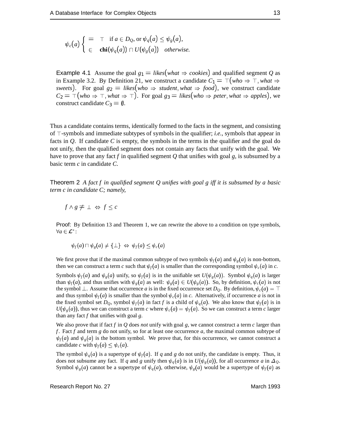$$
\psi_c(a) \begin{cases} = & \top \quad \text{if } a \in D_Q, \text{ or } \psi_q(a) \leq \psi_g(a), \\ \in & \text{chi}(\psi_q(a)) \cap U(\psi_g(a)) \quad \text{otherwise.} \end{cases}
$$

**Example 4.1** Assume the goal  $g_1 =$  *likes*(*what*  $\Rightarrow$  *cookies*) and qualified segment *Q* as in Example 3.2. By Definition 21, we construct a candidate  $C_1 = \top (who \Rightarrow \top, what \Rightarrow$ *sweets*). For goal  $g_2 =$  *likes*(*who*  $\Rightarrow$  *student*, *what*  $\Rightarrow$  *food*), we construct candidate  $C_2 = \top (who \Rightarrow \top, what \Rightarrow \top)$ . For goal  $g_3 =$  *likes*(*who*  $\Rightarrow$  *peter*, *what*  $\Rightarrow$  *apples*), we construct candidate  $C_3 = \emptyset$ .

Thus a candidate contains terms, identically formed to the facts in the segment, and consisting of  $\top$ -symbols and immediate subtypes of symbols in the qualifier; *i.e.*, symbols that appear in facts in *Q*. If candidate *C* is empty, the symbols in the terms in the qualifier and the goal do not unify, then the qualified segment does not contain any facts that unify with the goal. We have to prove that any fact *f* in qualified segment *Q* that unifies with goal *g*, is subsumed by a basic term *c* in candidate *C*.

Theorem 2 *A fact f in qualified segment Q unifies with goal g iff it is subsumed by a basic term c in candidate C; namely,*

$$
f \wedge g \neq \bot \Leftrightarrow f \leq c
$$

Proof: By Definition 13 and Theorem 1, we can rewrite the above to a condition on type symbols,  $\forall a \in \mathcal{L}^*$ :

$$
\psi_f(a) \sqcap \psi_g(a) \neq \{\bot\} \Leftrightarrow \psi_f(a) \leq \psi_c(a)
$$

We first prove that if the maximal common subtype of two symbols  $\psi_f(a)$  and  $\psi_g(a)$  is non-bottom, then we can construct a term *c* such that  $\psi_f(a)$  is smaller than the corresponding symbol  $\psi_c(a)$  in *c*.

Symbols  $\psi_f(a)$  and  $\psi_g(a)$  unify, so  $\psi_f(a)$  is in the unifiable set  $U(\psi_g(a))$ . Symbol  $\psi_g(a)$  is larger than  $\psi_f(a)$ , and thus unifies with  $\psi_g(a)$  as well:  $\psi_g(a) \in U(\psi_g(a))$ . So, by definition,  $\psi_g(a)$  is not the symbol  $\perp$ . Assume that occurrence *a* is in the fixed occurrence set *D*<sub>*Q*</sub>. By definition,  $\psi_c(a) = \top$ and thus symbol  $\psi_f(a)$  is smaller than the symbol  $\psi_c(a)$  in *c*. Alternatively, if occurrence *a* is not in the fixed symbol set  $D_Q$ , symbol  $\psi_f(a)$  in fact *f* is a child of  $\psi_q(a)$ . We also know that  $\psi_f(a)$  is in  $U(\psi_{\varepsilon}(a))$ , thus we can construct a term *c* where  $\psi_c(a) = \psi_f(a)$ . So we can construct a term *c* larger than any fact *f* that unifies with goal *g*.

We also prove that if fact *f* in *Q* does *not* unify with goal *g*, we cannot construct a term *c* larger than *f* . Fact *f* and term *g* do not unify, so for at least one occurrence *a*, the maximal common subtype of  $\psi_f(a)$  and  $\psi_g(a)$  is the bottom symbol. We prove that, for this occurrence, we cannot construct a candidate *c* with  $\psi_f(a) \leq \psi_c(a)$ .

The symbol  $\psi_q(a)$  is a supertype of  $\psi_f(a)$ . If *q* and *g* do not unify, the candidate is empty. Thus, it does not subsume any fact. If *q* and *g* unify then  $\psi_a(a)$  is in  $U(\psi_g(a))$ , for all occurrence *a* in  $\Delta_0$ . Symbol  $\psi_g(a)$  cannot be a supertype of  $\psi_g(a)$ , otherwise,  $\psi_g(a)$  would be a supertype of  $\psi_f(a)$  as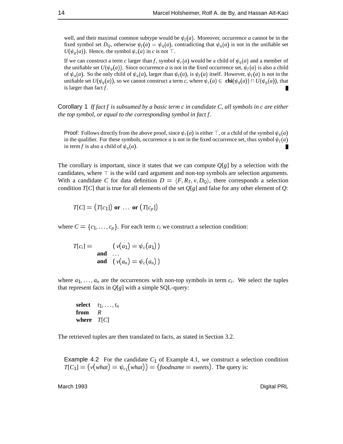well, and their maximal common subtype would be  $\psi_f(a)$ . Moreover, occurrence *a* cannot be in the fixed symbol set  $D<sub>Q</sub>$ , otherwise  $\psi_f(a) = \psi_q(a)$ , contradicting that  $\psi_q(a)$  is not in the unifiable set  $U(\psi_{\varrho}(a))$ . Hence, the symbol  $\psi_c(a)$  in *c* is not  $\top$ .

If we can construct a term *c* larger than *f*, symbol  $\psi_c(a)$  would be a child of  $\psi_q(a)$  and a member of the unifiable set  $U(\psi_g(a))$ . Since occurrence *a* is not in the fixed occurrence set,  $\psi_f(a)$  is also a child of  $\psi_q(a)$ . So the only child of  $\psi_q(a)$ , larger than  $\psi_f(a)$ , is  $\psi_f(a)$  itself. However,  $\psi_f(a)$  is not in the unifiable set  $U(\psi_g(a))$ , so we cannot construct a term *c*, where  $\psi_c(a) \in \text{chi}(\psi_g(a)) \cap U(\psi_g(a))$ , that is larger than fact *f* .

Corollary 1 *If fact f is subsumed by a basic term c in candidate C, all symbols in c are either the top symbol, or equal to the corresponding symbol in fact f .*

**Proof:** Follows directly from the above proof, since  $\psi_c(a)$  is either  $\top$ , or a child of the symbol  $\psi_a(a)$ in the qualifier. For these symbols, occurrence *a* is not in the fixed occurrence set, thus symbol  $\psi_f(a)$ in term *f* is also a child of  $\psi_a(a)$ .

The corollary is important, since it states that we can compute  $Q[g]$  by a selection with the candidates, where  $\top$  is the wild card argument and non-top symbols are selection arguments. With a candidate *C* for data definition  $D = \langle F, R_T, v, D_O \rangle$ , there corresponds a selection condition *T*[*C*] that is true for all elements of the set  $Q[g]$  and false for any other element of *Q*:

$$
T[C] = (T[c_1]) \text{ or } \dots \text{ or } (T[c_p])
$$

where  $C = \{c_1, \ldots, c_p\}$ . For each term  $c_i$  we construct a selection condition:

 $T[c_i] = (v(a_1) = \psi_c(a_1))$ **and** ... **and**  $(v(a_n) = \psi_c(a_n))$ 

where  $a_1, \ldots, a_n$  are the occurrences with non-top symbols in term  $c_i$ . We select the tuples that represent facts in  $Q[g]$  with a simple SQL-query:

**select**  $t_1, \ldots, t_n$ **from** *R* **where** *T*[*C*]

The retrieved tuples are then translated to facts, as stated in Section 3.2.

**Example 4.2** For the candidate  $C_1$  of Example 4.1, we construct a selection condition  $T[C_1] = (v(\text{what}) = \psi_{c_1}(\text{what})) = (foodname = \text{seeets})$ . The query is: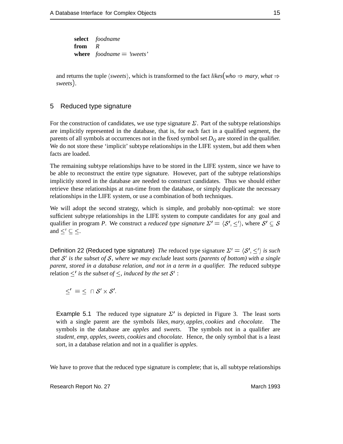**select** *foodname* **from** *R* **where** *foodname* <sup>=</sup> *'sweets'*

and returns the tuple  $\langle$ *sweets* $\rangle$ , which is transformed to the fact *likes*(*who*  $\Rightarrow$  *mary*, *what*  $\Rightarrow$ *sweets*).

#### 5 Reduced type signature

For the construction of candidates, we use type signature  $\Sigma$ . Part of the subtype relationships are implicitly represented in the database, that is, for each fact in a qualified segment, the parents of all symbols at occurrences not in the fixed symbol set  $D<sub>O</sub>$  are stored in the qualifier. We do not store these 'implicit' subtype relationships in the LIFE system, but add them when facts are loaded.

The remaining subtype relationships have to be stored in the LIFE system, since we have to be able to reconstruct the entire type signature. However, part of the subtype relationships implicitly stored in the database are needed to construct candidates. Thus we should either retrieve these relationships at run-time from the database, or simply duplicate the necessary relationships in the LIFE system, or use a combination of both techniques.

We will adopt the second strategy, which is simple, and probably non-optimal: we store sufficient subtype relationships in the LIFE system to compute candidates for any goal and qualifier in program *P*. We construct a *reduced type signature*  $\Sigma' = \langle S', \le' \rangle$ , where  $S' \subseteq S$ and  $\leq' \subseteq \leq$ .

Definition 22 (Reduced type signature) *The* reduced type signature  $\Sigma' = \langle S', \leq' \rangle$  *is such that* S' is the subset of S, where we may exclude least sorts (parents of bottom) with a single *parent, stored in a database relation, and not in a term in a qualifier. The* reduced subtype relation  $\leq'$  *is the subset of*  $\leq$ *, induced by the set*  $S'$  :

$$
\leq' \; = \; \leq \; \cap \; \mathcal{S}' \times \mathcal{S}'.
$$

**Example 5.1** The reduced type signature  $\Sigma'$  is depicted in Figure 3. The least sorts with a single parent are the symbols *likes*; *mary*; *apples*; *cookies* and *chocolate*. The symbols in the database are *apples* and *sweets*. The symbols not in a qualifier are *student*; *emp*; *apples*; *sweets*; *cookies* and *chocolate*. Hence, the only symbol that is a least sort, in a database relation and not in a qualifier is *apples*.

We have to prove that the reduced type signature is complete; that is, all subtype relationships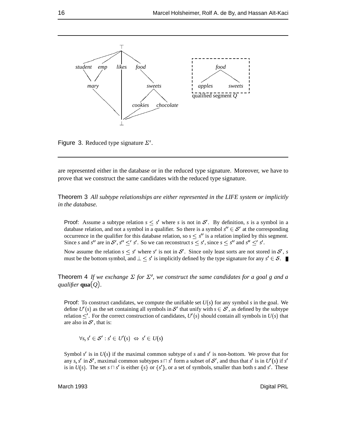

Figure 3. Reduced type signature  $\Sigma'$ .

are represented either in the database or in the reduced type signature. Moreover, we have to prove that we construct the same candidates with the reduced type signature.

Theorem 3 *All subtype relationships are either represented in the LIFE system or implicitly in the database.*

**Proof:** Assume a subtype relation  $s \leq s'$  where *s* is not in S'. By definition, *s* is a symbol in a database relation, and not a symbol in a qualifier. So there is a symbol  $s'' \in S'$  at the corresponding occurrence in the qualifier for this database relation, so  $s \leq s''$  is a relation implied by this segment. Since *s* and *s*<sup>*n*</sup> are in *S'*, *s*<sup>*n*</sup>  $\leq$  *s'*. So we can reconstruct  $s \leq s'$ , since  $s \leq s''$  and  $s'' \leq s'$ .

Now assume the relation  $s \leq s'$  where  $s'$  is not in  $S'$ . Since only least sorts are not stored in  $S'$ , *s* must be the bottom symbol, and  $\perp \leq s'$  is implicitly defined by the type signature for any  $s' \in S$ .

**Theorem 4** If we exchange  $\Sigma$  for  $\Sigma'$ , we construct the same candidates for a goal g and a *qualifier* **qua**(*Q*)*.*

**Proof:** To construct candidates, we compute the unifiable set  $U(s)$  for any symbol *s* in the goal. We define  $U'(s)$  as the set containing all symbols in  $S'$  that unify with  $s \in S'$ , as defined by the subtype relation  $\leq'$ . For the correct construction of candidates,  $U'(s)$  should contain all symbols in  $U(s)$  that are also in  $S'$ , that is:

$$
\forall s, s' \in \mathcal{S}' : s' \in U'(s) \Leftrightarrow s' \in U(s)
$$

Symbol  $s'$  is in  $U(s)$  if the maximal common subtype of  $s$  and  $s'$  is non-bottom. We prove that for any *s*, *s'* in *S'*, maximal common subtypes  $s \sqcap s'$  form a subset of *S'*, and thus that *s'* is in *U'(s)* if *s'* is in  $U(s)$ . The set  $s \sqcap s'$  is either  $\{s\}$  or  $\{s'\}$ , or a set of symbols, smaller than both *s* and *s'*. These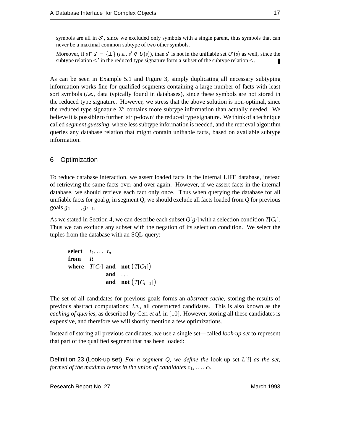symbols are all in  $\mathcal{S}'$ , since we excluded only symbols with a single parent, thus symbols that can never be a maximal common subtype of two other symbols.

Moreover, if  $s \sqcap s' = {\perp}$  (*i.e.*,  $s' \notin U(s)$ ), than  $s'$  is not in the unifiable set  $U'(s)$  as well, since the subtype relation  $\leq'$  in the reduced type signature form a subset of the subtype relation  $\leq$ . П

As can be seen in Example 5.1 and Figure 3, simply duplicating all necessary subtyping information works fine for qualified segments containing a large number of facts with least sort symbols (*i.e.*, data typically found in databases), since these symbols are not stored in the reduced type signature. However, we stress that the above solution is non-optimal, since the reduced type signature  $\Sigma'$  contains more subtype information than actually needed. We believe it is possible to further 'strip-down' the reduced type signature. We think of a technique called *segment guessing*, where less subtype information is needed, and the retrieval algorithm queries any database relation that might contain unifiable facts, based on available subtype information.

#### 6 Optimization

To reduce database interaction, we assert loaded facts in the internal LIFE database, instead of retrieving the same facts over and over again. However, if we assert facts in the internal database, we should retrieve each fact only once. Thus when querying the database for all unifiable facts for goal  $g_i$  in segment  $Q$ , we should exclude all facts loaded from  $Q$  for previous  $\text{goals } g_1, \ldots, g_{i-1}.$ 

As we stated in Section 4, we can describe each subset  $Q[g_i]$  with a selection condition  $T[C_i]$ . Thus we can exclude any subset with the negation of its selection condition. We select the tuples from the database with an SQL-query:

**select**  $t_1, \ldots, t_n$ **from** *R* **where**  $T[C_i]$  **and not**  $(T[C_1])$ **and** ... and not  $(T[C_{i-1}])$ 

The set of all candidates for previous goals forms an *abstract cache*, storing the results of previous abstract computations; *i.e.*, all constructed candidates. This is also known as the *caching of queries*, as described by Ceri *et al.* in [10]. However, storing all these candidates is expensive, and therefore we will shortly mention a few optimizations.

Instead of storing all previous candidates, we use a single set—called *look-up set* to represent that part of the qualified segment that has been loaded:

Definition 23 (Look-up set) *For a segment Q, we define the* look-up set *L*[*i*] *as the set, formed of the maximal terms in the union of candidates*  $c_1, \ldots, c_i$ *.*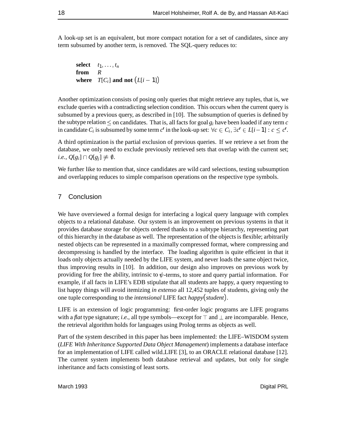A look-up set is an equivalent, but more compact notation for a set of candidates, since any term subsumed by another term, is removed. The SQL-query reduces to:

**select**  $t_1, \ldots, t_n$ **from** *R* **where**  $T[C_i]$  **and not**  $(L[i-1])$ 

Another optimization consists of posing only queries that might retrieve any tuples, that is, we exclude queries with a contradicting selection condition. This occurs when the current query is subsumed by a previous query, as described in [10]. The subsumption of queries is defined by the subtype relation  $\leq$  on candidates. That is, all facts for goal  $g_i$  have been loaded if any term *c* in candidate  $C_i$  is subsumed by some term  $c'$  in the look-up set:  $\forall c \in C_i$ ,  $\exists c' \in L[i-1]: c \leq c'.$ 

A third optimization is the partial exclusion of previous queries. If we retrieve a set from the database, we only need to exclude previously retrieved sets that overlap with the current set;  $i.e., Q[g_i] \cap Q[g_i] \neq \emptyset.$ 

We further like to mention that, since candidates are wild card selections, testing subsumption and overlapping reduces to simple comparison operations on the respective type symbols.

#### 7 Conclusion

We have overviewed a formal design for interfacing a logical query language with complex objects to a relational database. Our system is an improvement on previous systems in that it provides database storage for objects ordered thanks to a subtype hierarchy, representing part of this hierarchy in the database as well. The representation of the objects is flexible; arbitrarily nested objects can be represented in a maximally compressed format, where compressing and decompressing is handled by the interface. The loading algorithm is quite efficient in that it loads only objects actually needed by the LIFE system, and never loads the same object twice, thus improving results in [10]. In addition, our design also improves on previous work by providing for free the ability, intrinsic to  $\psi$ -terms, to store and query partial information. For example, if all facts in LIFE's EDB stipulate that all students are happy, a query requesting to list happy things will avoid itemizing *in extenso* all 12,452 tuples of students, giving only the one tuple corresponding to the *intensional* LIFE fact *happy*(*student*).

LIFE is an extension of logic programming: first-order logic programs are LIFE programs with a *flat* type signature; *i.e.*, all type symbols—except for  $\top$  and  $\bot$  are incomparable. Hence, the retrieval algorithm holds for languages using Prolog terms as objects as well.

Part of the system described in this paper has been implemented: the LIFE–WISDOM system (*LIFE With Inheritance Supported Data Object Management*) implements a database interface for an implementation of LIFE called wild LIFE [3], to an ORACLE relational database [12]. The current system implements both database retrieval and updates, but only for single inheritance and facts consisting of least sorts.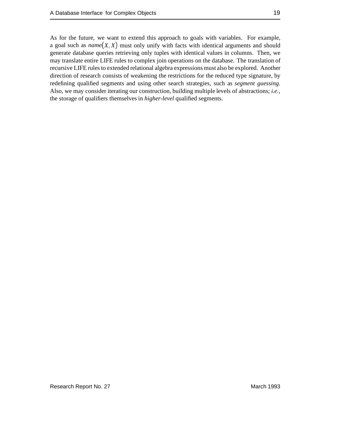As for the future, we want to extend this approach to goals with variables. For example, a goal such as  $name(X, X)$  must only unify with facts with identical arguments and should generate database queries retrieving only tuples with identical values in columns. Then, we may translate entire LIFE rules to complex join operations on the database. The translation of recursive LIFE rules to extended relational algebra expressions must also be explored. Another direction of research consists of weakening the restrictions for the reduced type signature, by redefining qualified segments and using other search strategies, such as *segment guessing*. Also, we may consider iterating our construction, building multiple levels of abstractions; *i.e.*, the storage of qualifiers themselves in *higher-level* qualified segments.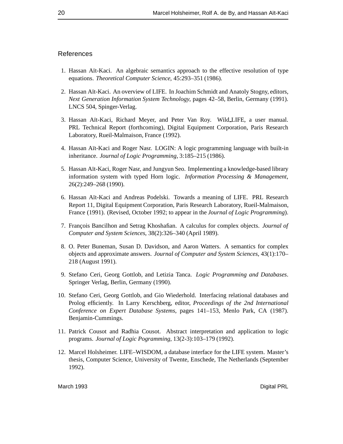#### References

- 1. Hassan Aït-Kaci. An algebraic semantics approach to the effective resolution of type equations. *Theoretical Computer Science*, 45:293–351 (1986).
- 2. Hassan Aït-Kaci. An overview of LIFE. In Joachim Schmidt and Anatoly Stogny, editors, *Next Generation Information System Technology*, pages 42–58, Berlin, Germany (1991). LNCS 504, Spinger-Verlag.
- 3. Hassan Aït-Kaci, Richard Meyer, and Peter Van Roy. Wild LIFE, a user manual. PRL Technical Report (forthcoming), Digital Equipment Corporation, Paris Research Laboratory, Rueil-Malmaison, France (1992).
- 4. Hassan Aït-Kaci and Roger Nasr. LOGIN: A logic programming language with built-in inheritance. *Journal of Logic Programming*, 3:185–215 (1986).
- 5. Hassan Aït-Kaci, Roger Nasr, and Jungyun Seo. Implementing a knowledge-based library information system with typed Horn logic. *Information Processing & Management*, 26(2):249–268 (1990).
- 6. Hassan A¨ıt-Kaci and Andreas Podelski. Towards a meaning of LIFE. PRL Research Report 11, Digital Equipment Corporation, Paris Research Laboratory, Rueil-Malmaison, France (1991). (Revised, October 1992; to appear in the *Journal of Logic Programming*).
- 7. Fran¸cois Bancilhon and Setrag Khoshafian. A calculus for complex objects. *Journal of Computer and System Sciences*, 38(2):326–340 (April 1989).
- 8. O. Peter Buneman, Susan D. Davidson, and Aaron Watters. A semantics for complex objects and approximate answers. *Journal of Computer and System Sciences*, 43(1):170– 218 (August 1991).
- 9. Stefano Ceri, Georg Gottlob, and Letizia Tanca. *Logic Programming and Databases*. Springer Verlag, Berlin, Germany (1990).
- 10. Stefano Ceri, Georg Gottlob, and Gio Wiederhold. Interfacing relational databases and Prolog efficiently. In Larry Kerschberg, editor, *Proceedings of the 2nd International Conference on Expert Database Systems*, pages 141–153, Menlo Park, CA (1987). Benjamin-Cummings.
- 11. Patrick Cousot and Radhia Cousot. Abstract interpretation and application to logic programs. *Journal of Logic Pogramming*, 13(2-3):103–179 (1992).
- 12. Marcel Holsheimer. LIFE–WISDOM, a database interface for the LIFE system. Master's thesis, Computer Science, University of Twente, Enschede, The Netherlands (September 1992).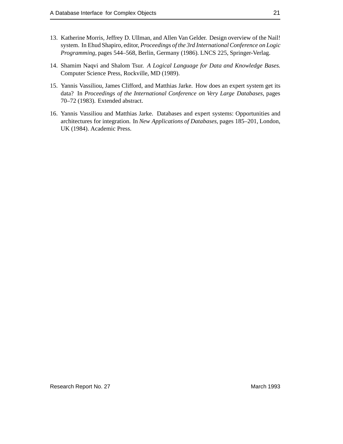- 13. Katherine Morris, Jeffrey D. Ullman, and Allen Van Gelder. Design overview of the Nail! system. In Ehud Shapiro, editor, *Proceedings of the 3rd International Conference on Logic Programming*, pages 544–568, Berlin, Germany (1986). LNCS 225, Springer-Verlag.
- 14. Shamim Naqvi and Shalom Tsur. *A Logical Language for Data and Knowledge Bases*. Computer Science Press, Rockville, MD (1989).
- 15. Yannis Vassiliou, James Clifford, and Matthias Jarke. How does an expert system get its data? In *Proceedings of the International Conference on Very Large Databases*, pages 70–72 (1983). Extended abstract.
- 16. Yannis Vassiliou and Matthias Jarke. Databases and expert systems: Opportunities and architectures for integration. In *New Applications of Databases*, pages 185–201, London, UK (1984). Academic Press.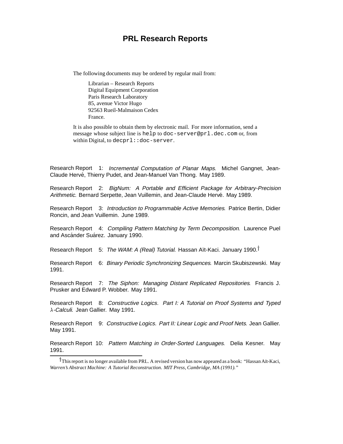## **PRL Research Reports**

The following documents may be ordered by regular mail from:

Librarian – Research Reports Digital Equipment Corporation Paris Research Laboratory 85, avenue Victor Hugo 92563 Rueil-Malmaison Cedex France.

It is also possible to obtain them by electronic mail. For more information, send a message whose subject line is help to doc-server@prl.dec.com or, from within Digital, to decprl::doc-server.

Research Report 1: Incremental Computation of Planar Maps. Michel Gangnet, Jean-Claude Hervé, Thierry Pudet, and Jean-Manuel Van Thong. May 1989.

Research Report 2: BigNum: A Portable and Efficient Package for Arbitrary-Precision Arithmetic. Bernard Serpette, Jean Vuillemin, and Jean-Claude Hervé. May 1989.

Research Report 3: Introduction to Programmable Active Memories. Patrice Bertin, Didier Roncin, and Jean Vuillemin. June 1989.

Research Report 4: Compiling Pattern Matching by Term Decomposition. Laurence Puel and Ascánder Suárez. January 1990.

Research Report 5: The WAM: A (Real) Tutorial. Hassan Aït-Kaci. January 1990.<sup>†</sup>

Research Report 6: Binary Periodic Synchronizing Sequences. Marcin Skubiszewski. May 1991.

Research Report 7: The Siphon: Managing Distant Replicated Repositories. Francis J. Prusker and Edward P. Wobber. May 1991.

Research Report 8: Constructive Logics. Part I: A Tutorial on Proof Systems and Typed  $\lambda$ -Calculi. Jean Gallier. May 1991.

Research Report 9: Constructive Logics. Part II: Linear Logic and Proof Nets. Jean Gallier. May 1991.

Research Report 10: Pattern Matching in Order-Sorted Languages. Delia Kesner. May 1991.

<sup>†</sup>This report is no longer available from PRL. A revised version has now appeared as a book: "Hassan Aït-Kaci, *Warren's Abstract Machine: A Tutorial Reconstruction. MIT Press, Cambridge, MA (1991)."*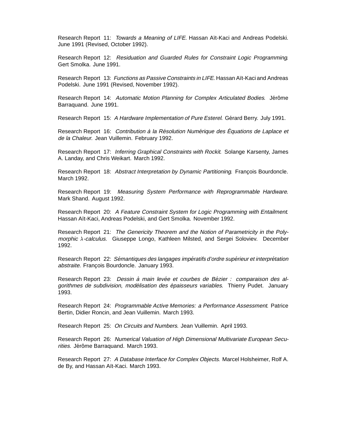Research Report 11: Towards a Meaning of LIFE. Hassan Aït-Kaci and Andreas Podelski. June 1991 (Revised, October 1992).

Research Report 12: Residuation and Guarded Rules for Constraint Logic Programming. Gert Smolka. June 1991.

Research Report 13: Functions as Passive Constraints in LIFE. Hassan Aït-Kaci and Andreas Podelski. June 1991 (Revised, November 1992).

Research Report 14: Automatic Motion Planning for Complex Articulated Bodies. Jérôme Barraquand. June 1991.

Research Report 15: A Hardware Implementation of Pure Esterel. Gérard Berry. July 1991.

Research Report 16: Contribution à la Résolution Numérique des Équations de Laplace et de la Chaleur. Jean Vuillemin. February 1992.

Research Report 17: Inferring Graphical Constraints with Rockit. Solange Karsenty, James A. Landay, and Chris Weikart. March 1992.

Research Report 18: Abstract Interpretation by Dynamic Partitioning. François Bourdoncle. March 1992.

Research Report 19: Measuring System Performance with Reprogrammable Hardware. Mark Shand. August 1992.

Research Report 20: A Feature Constraint System for Logic Programming with Entailment. Hassan Aït-Kaci, Andreas Podelski, and Gert Smolka. November 1992.

Research Report 21: The Genericity Theorem and the Notion of Parametricity in the Polymorphic  $\lambda$ -calculus. Giuseppe Longo, Kathleen Milsted, and Sergei Soloviev. December 1992.

Research Report 22: Sémantiques des langages impératifs d'ordre supérieur et interprétation abstraite. François Bourdoncle. January 1993.

Research Report 23: Dessin à main levée et courbes de Bézier : comparaison des algorithmes de subdivision, modélisation des épaisseurs variables. Thierry Pudet. January 1993.

Research Report 24: Programmable Active Memories: a Performance Assessment. Patrice Bertin, Didier Roncin, and Jean Vuillemin. March 1993.

Research Report 25: On Circuits and Numbers. Jean Vuillemin. April 1993.

Research Report 26: Numerical Valuation of High Dimensional Multivariate European Securities. Jérôme Barraquand. March 1993.

Research Report 27: A Database Interface for Complex Objects. Marcel Holsheimer, Rolf A. de By, and Hassan Aït-Kaci. March 1993.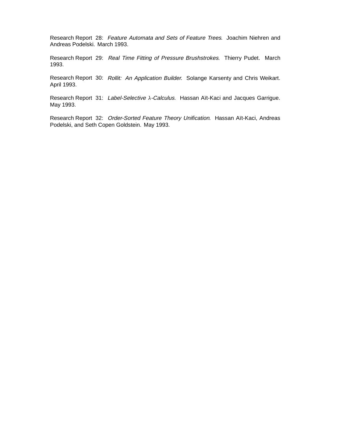Research Report 28: Feature Automata and Sets of Feature Trees. Joachim Niehren and Andreas Podelski. March 1993.

Research Report 29: Real Time Fitting of Pressure Brushstrokes. Thierry Pudet. March 1993.

Research Report 30: Rollit: An Application Builder. Solange Karsenty and Chris Weikart. April 1993.

Research Report 31: Label-Selective  $\lambda$ -Calculus. Hassan Aït-Kaci and Jacques Garrigue. May 1993.

Research Report 32: Order-Sorted Feature Theory Unification. Hassan Aït-Kaci, Andreas Podelski, and Seth Copen Goldstein. May 1993.